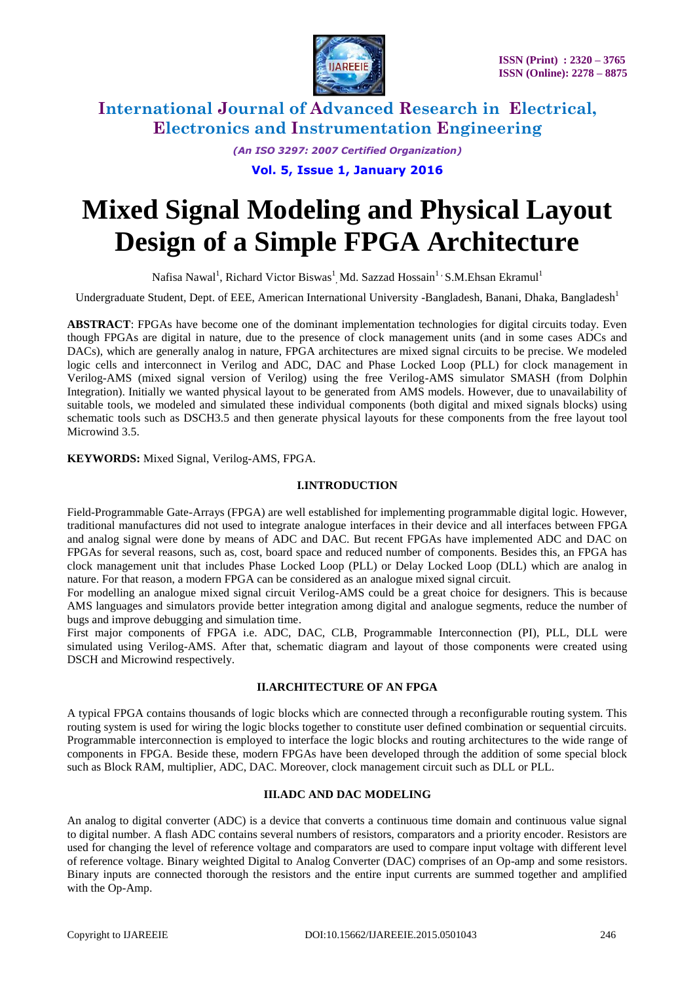

> *(An ISO 3297: 2007 Certified Organization)* **Vol. 5, Issue 1, January 2016**

# **Mixed Signal Modeling and Physical Layout Design of a Simple FPGA Architecture**

Nafisa Nawal<sup>1</sup>, Richard Victor Biswas<sup>1</sup> Md. Sazzad Hossain<sup>1 ,</sup> S.M.Ehsan Ekramul<sup>1</sup>

Undergraduate Student, Dept. of EEE, American International University -Bangladesh, Banani, Dhaka, Bangladesh<sup>1</sup>

**ABSTRACT**: FPGAs have become one of the dominant implementation technologies for digital circuits today. Even though FPGAs are digital in nature, due to the presence of clock management units (and in some cases ADCs and DACs), which are generally analog in nature, FPGA architectures are mixed signal circuits to be precise. We modeled logic cells and interconnect in Verilog and ADC, DAC and Phase Locked Loop (PLL) for clock management in Verilog-AMS (mixed signal version of Verilog) using the free Verilog-AMS simulator SMASH (from Dolphin Integration). Initially we wanted physical layout to be generated from AMS models. However, due to unavailability of suitable tools, we modeled and simulated these individual components (both digital and mixed signals blocks) using schematic tools such as DSCH3.5 and then generate physical layouts for these components from the free layout tool Microwind 3.5.

**KEYWORDS:** Mixed Signal, Verilog-AMS, FPGA.

#### **I.INTRODUCTION**

Field-Programmable Gate-Arrays (FPGA) are well established for implementing programmable digital logic. However, traditional manufactures did not used to integrate analogue interfaces in their device and all interfaces between FPGA and analog signal were done by means of ADC and DAC. But recent FPGAs have implemented ADC and DAC on FPGAs for several reasons, such as, cost, board space and reduced number of components. Besides this, an FPGA has clock management unit that includes Phase Locked Loop (PLL) or Delay Locked Loop (DLL) which are analog in nature. For that reason, a modern FPGA can be considered as an analogue mixed signal circuit.

For modelling an analogue mixed signal circuit Verilog-AMS could be a great choice for designers. This is because AMS languages and simulators provide better integration among digital and analogue segments, reduce the number of bugs and improve debugging and simulation time.

First major components of FPGA i.e. ADC, DAC, CLB, Programmable Interconnection (PI), PLL, DLL were simulated using Verilog-AMS. After that, schematic diagram and layout of those components were created using DSCH and Microwind respectively.

#### **II.ARCHITECTURE OF AN FPGA**

A typical FPGA contains thousands of logic blocks which are connected through a reconfigurable routing system. This routing system is used for wiring the logic blocks together to constitute user defined combination or sequential circuits. Programmable interconnection is employed to interface the logic blocks and routing architectures to the wide range of components in FPGA. Beside these, modern FPGAs have been developed through the addition of some special block such as Block RAM, multiplier, ADC, DAC. Moreover, clock management circuit such as DLL or PLL.

#### **III.ADC AND DAC MODELING**

An analog to digital converter (ADC) is a device that converts a continuous time domain and continuous value signal to digital number. A flash ADC contains several numbers of resistors, comparators and a priority encoder. Resistors are used for changing the level of reference voltage and comparators are used to compare input voltage with different level of reference voltage. Binary weighted Digital to Analog Converter (DAC) comprises of an Op-amp and some resistors. Binary inputs are connected thorough the resistors and the entire input currents are summed together and amplified with the Op-Amp.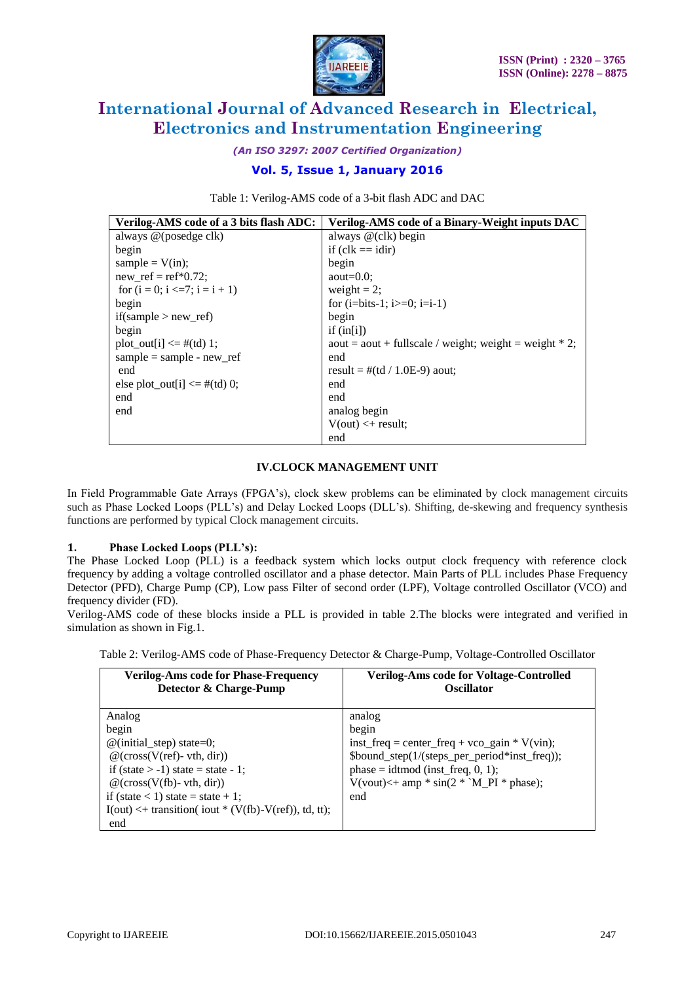

*(An ISO 3297: 2007 Certified Organization)*

### **Vol. 5, Issue 1, January 2016**

Table 1: Verilog-AMS code of a 3-bit flash ADC and DAC

| Verilog-AMS code of a 3 bits flash ADC: | <b>Verilog-AMS code of a Binary-Weight inputs DAC</b>     |
|-----------------------------------------|-----------------------------------------------------------|
| always @(posedge clk)                   | always @(clk) begin                                       |
| begin                                   | if $(clk == idir)$                                        |
| sample = $V(in);$                       | begin                                                     |
| new ref = $ref*0.72$ ;                  | aout= $0.0$ :                                             |
| for $(i = 0; i \le 7; i = i + 1)$       | weight $= 2$ ;                                            |
| begin                                   | for $(i=bits-1; i>=0; i=i-1)$                             |
| if(sample $>$ new ref)                  | begin                                                     |
| begin                                   | if $(in[i])$                                              |
| $plot\_out[i] \leq \# (td) 1;$          | $a$ out = aout + fullscale / weight; weight = weight * 2; |
| sample = sample - new ref               | end                                                       |
| end                                     | result = $\#$ (td / 1.0E-9) aout;                         |
| else plot out[i] $\leq \#$ (td) 0;      | end                                                       |
| end                                     | end                                                       |
| end                                     | analog begin                                              |
|                                         | $V(out) < + result$                                       |
|                                         | end                                                       |

#### **IV.CLOCK MANAGEMENT UNIT**

In Field Programmable Gate Arrays (FPGA"s), clock skew problems can be eliminated by clock management circuits such as Phase Locked Loops (PLL"s) and Delay Locked Loops (DLL"s). Shifting, de-skewing and frequency synthesis functions are performed by typical Clock management circuits.

### **1. Phase Locked Loops (PLL's):**

The Phase Locked Loop (PLL) is a feedback system which locks output clock frequency with reference clock frequency by adding a voltage controlled oscillator and a phase detector. Main Parts of PLL includes Phase Frequency Detector (PFD), Charge Pump (CP), Low pass Filter of second order (LPF), Voltage controlled Oscillator (VCO) and frequency divider (FD).

Verilog-AMS code of these blocks inside a PLL is provided in table 2.The blocks were integrated and verified in simulation as shown in Fig.1.

Table 2: Verilog-AMS code of Phase-Frequency Detector & Charge-Pump, Voltage-Controlled Oscillator

| <b>Verilog-Ams code for Phase-Frequency</b><br>Detector & Charge-Pump | <b>Verilog-Ams code for Voltage-Controlled</b><br><b>Oscillator</b> |
|-----------------------------------------------------------------------|---------------------------------------------------------------------|
| Analog                                                                | analog                                                              |
| begin                                                                 | begin                                                               |
| $\omega$ (initial_step) state=0;                                      | inst_freq = center_freq + vco_gain * V(vin);                        |
| $@$ (cross(V(ref)- vth, dir))                                         | \$bound_step(1/(steps_per_period*inst_freq));                       |
| if (state $> -1$ ) state = state - 1;                                 | phase = idtmod (inst_freq, $0$ , 1);                                |
| $@$ (cross(V(fb)- vth, dir))                                          | $V(vout) \leq + \text{amp} * \sin(2 * M_P I) * \text{phase};$       |
| if (state $<$ 1) state = state + 1;                                   | end                                                                 |
| $I(out) < + transition($ iout * (V(fb)-V(ref)), td, tt);              |                                                                     |
| end                                                                   |                                                                     |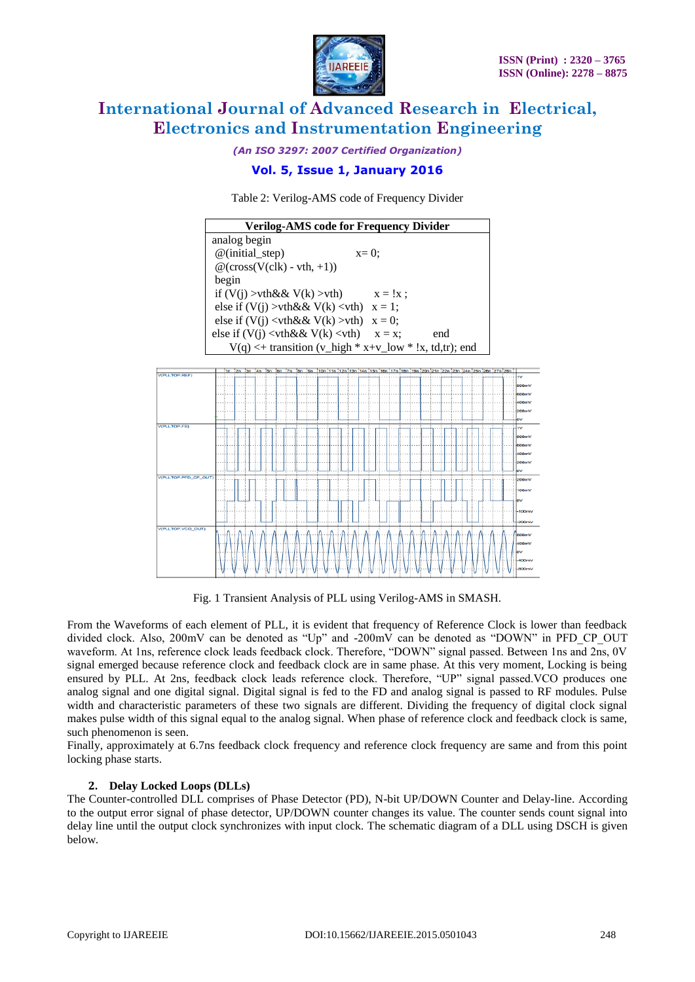

*(An ISO 3297: 2007 Certified Organization)*

### **Vol. 5, Issue 1, January 2016**



| <b>Verilog-AMS code for Frequency Divider</b>                |         |            |     |  |
|--------------------------------------------------------------|---------|------------|-----|--|
| analog begin                                                 |         |            |     |  |
| $@$ (initial_step)                                           | $x=0$ : |            |     |  |
| $\mathcal{Q}(\text{cross}(V(clk) - vth, +1))$                |         |            |     |  |
| begin                                                        |         |            |     |  |
| if $(V(i) > vth\&& V(k) > vth)$                              |         | $x = !x$ : |     |  |
| else if $(V(j) > vth \&& V(k) < vth)$ $x = 1$ ;              |         |            |     |  |
| else if $(V(i) \leq v$ th & $V(k) > v$ th $)$ x = 0;         |         |            |     |  |
| else if $(V(i) \leq v$ th & $(X(k) \leq v)$ $x = x$ ;        |         |            | end |  |
| $V(q) \leq +$ transition (v_high * x+v_low * !x, td,tr); end |         |            |     |  |



Fig. 1 Transient Analysis of PLL using Verilog-AMS in SMASH.

From the Waveforms of each element of PLL, it is evident that frequency of Reference Clock is lower than feedback divided clock. Also, 200mV can be denoted as "Up" and -200mV can be denoted as "DOWN" in PFD\_CP\_OUT waveform. At 1ns, reference clock leads feedback clock. Therefore, "DOWN" signal passed. Between 1ns and 2ns, 0V signal emerged because reference clock and feedback clock are in same phase. At this very moment, Locking is being ensured by PLL. At 2ns, feedback clock leads reference clock. Therefore, "UP" signal passed.VCO produces one analog signal and one digital signal. Digital signal is fed to the FD and analog signal is passed to RF modules. Pulse width and characteristic parameters of these two signals are different. Dividing the frequency of digital clock signal makes pulse width of this signal equal to the analog signal. When phase of reference clock and feedback clock is same, such phenomenon is seen.

Finally, approximately at 6.7ns feedback clock frequency and reference clock frequency are same and from this point locking phase starts.

### **2. Delay Locked Loops (DLLs)**

The Counter-controlled DLL comprises of Phase Detector (PD), N-bit UP/DOWN Counter and Delay-line. According to the output error signal of phase detector, UP/DOWN counter changes its value. The counter sends count signal into delay line until the output clock synchronizes with input clock. The schematic diagram of a DLL using DSCH is given below.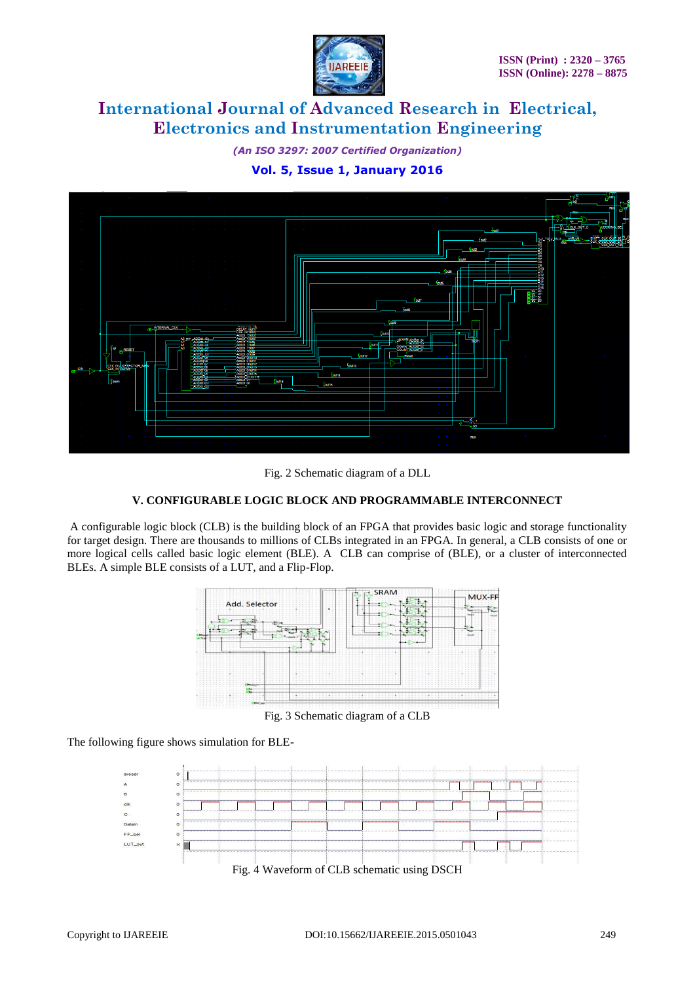

*(An ISO 3297: 2007 Certified Organization)* **Vol. 5, Issue 1, January 2016**





### **V. CONFIGURABLE LOGIC BLOCK AND PROGRAMMABLE INTERCONNECT**

A configurable logic block (CLB) is the building block of an FPGA that provides basic logic and storage functionality for target design. There are thousands to millions of CLBs integrated in an FPGA. In general, a CLB consists of one or more logical cells called basic logic element (BLE). A CLB can comprise of (BLE), or a cluster of interconnected BLEs. A simple BLE consists of a LUT, and a Flip-Flop.



Fig. 3 Schematic diagram of a CLB

The following figure shows simulation for BLE-

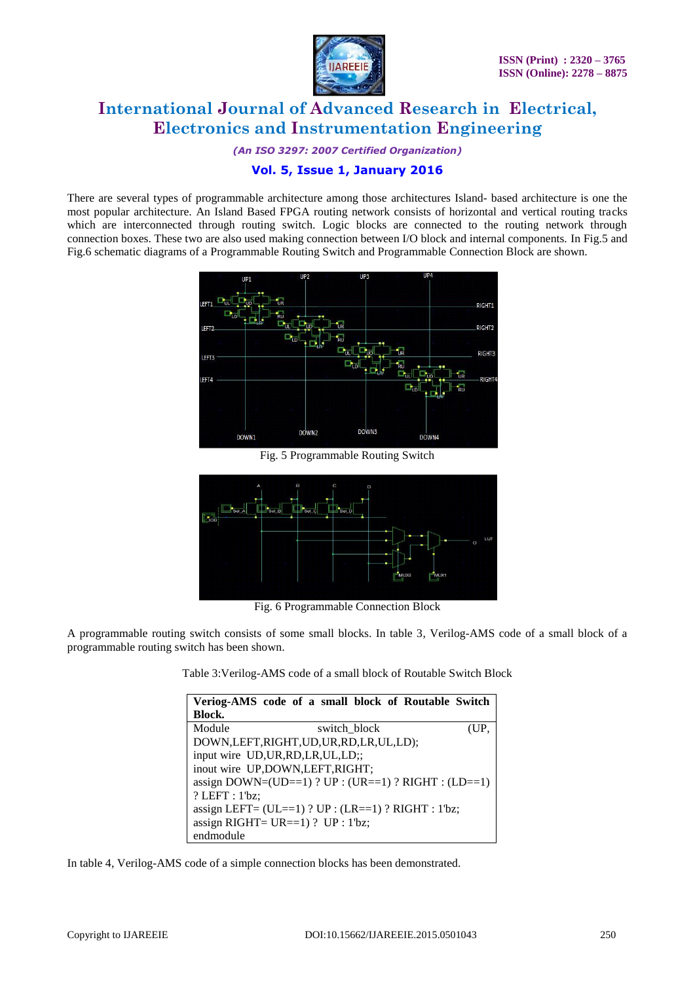

*(An ISO 3297: 2007 Certified Organization)*

### **Vol. 5, Issue 1, January 2016**

There are several types of programmable architecture among those architectures Island- based architecture is one the most popular architecture. An Island Based FPGA routing network consists of horizontal and vertical routing tracks which are interconnected through routing switch. Logic blocks are connected to the routing network through connection boxes. These two are also used making connection between I/O block and internal components. In Fig.5 and Fig.6 schematic diagrams of a Programmable Routing Switch and Programmable Connection Block are shown.



Fig. 5 Programmable Routing Switch



Fig. 6 Programmable Connection Block

A programmable routing switch consists of some small blocks. In table 3, Verilog-AMS code of a small block of a programmable routing switch has been shown.

Table 3:Verilog-AMS code of a small block of Routable Switch Block

| Veriog-AMS code of a small block of Routable Switch     |  |  |  |  |  |
|---------------------------------------------------------|--|--|--|--|--|
| Block.                                                  |  |  |  |  |  |
| Module<br>switch block<br>(UP.                          |  |  |  |  |  |
| DOWN, LEFT, RIGHT, UD, UR, RD, LR, UL, LD);             |  |  |  |  |  |
| input wire UD, UR, RD, LR, UL, LD;;                     |  |  |  |  |  |
| inout wire UP,DOWN,LEFT,RIGHT;                          |  |  |  |  |  |
| assign DOWN=(UD==1) ? UP : (UR==1) ? RIGHT : (LD==1)    |  |  |  |  |  |
| $?$ LEFT : $1$ <sup>bz</sup> ;                          |  |  |  |  |  |
| assign LEFT= $(UL==1)$ ? UP : $(LR==1)$ ? RIGHT : 1'bz; |  |  |  |  |  |
| assign RIGHT= $UR==1$ ) ? UP : 1'bz;                    |  |  |  |  |  |
| endmodule                                               |  |  |  |  |  |

In table 4, Verilog-AMS code of a simple connection blocks has been demonstrated.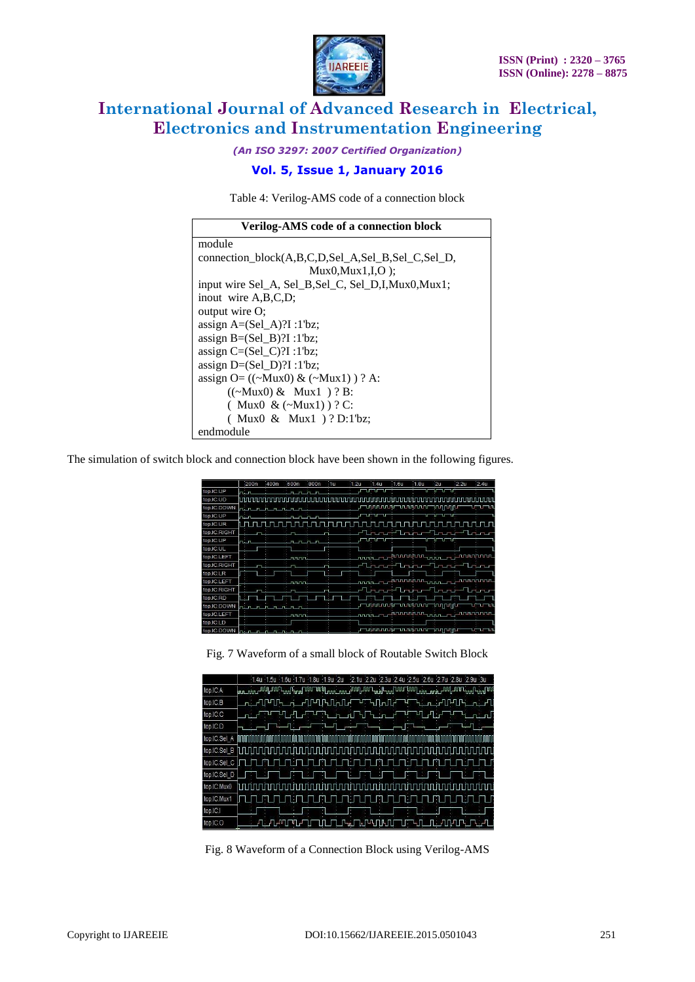

*(An ISO 3297: 2007 Certified Organization)*

## **Vol. 5, Issue 1, January 2016**

Table 4: Verilog-AMS code of a connection block

| <b>Verilog-AMS code of a connection block</b>                    |
|------------------------------------------------------------------|
| module                                                           |
| connection block(A,B,C,D,Sel A,Sel B,Sel C,Sel D,                |
| $Mux0.Mux1,I.O$ :                                                |
| input wire Sel_A, Sel_B, Sel_C, Sel_D, I, Mux0, Mux1;            |
| inout wire A, B, C, D;                                           |
| output wire O;                                                   |
| assign $A=(Sel \ A)?$ $I : 1'bz$ ;                               |
| assign $B=(Sel \t B)?$ $I : 1'bz$ ;                              |
| assign $C=(Sel_C)?$ $\ddots$ $\ddot{\text{D}}$ $\ddot{\text{D}}$ |
| assign $D=(Sel_D)$ ?I :1'bz;                                     |
| assign $O = ((\sim Mux0) \& (\sim Mux1)) ? A$ :                  |
| $((\sim Mux0) \& Mux1) ? B:$                                     |
| ( Mux0 & $(\sim Mux1)$ )? C:                                     |
| $(Mux0 \& Mux1) ? D:1'bz;$                                       |
| endmodule                                                        |

The simulation of switch block and connection block have been shown in the following figures.

|              | $-200n$                | 400n | 600n                | 800n | $-10$              | $-1.2u$ | $-1.4u$                                           | $-1.6u$ | $-1.8U$ | -2u     | $-2.2u$ | $-2.4u$                                  |
|--------------|------------------------|------|---------------------|------|--------------------|---------|---------------------------------------------------|---------|---------|---------|---------|------------------------------------------|
| top.IC.UP    | سنما                   |      | $n - n$             |      |                    |         |                                                   |         |         |         |         |                                          |
| top.IC.UD    |                        |      |                     |      |                    |         |                                                   |         |         |         |         |                                          |
| top.IC.DOWN  | n. n<br>$\blacksquare$ |      | لمسمنهمة            |      |                    |         |                                                   |         |         |         |         | புபட                                     |
| top.IC.UP    | مختما                  |      | டாடாடா              |      | الكالولاي كالمتعصف |         |                                                   |         |         | ים די ה |         |                                          |
| top.IC.UR    |                        |      |                     |      |                    |         |                                                   |         |         |         |         |                                          |
| top.IC.RIGHT |                        |      |                     |      |                    |         | <u>La Chanail Chuir Chuir Chuir Ch</u>            |         |         |         |         |                                          |
| top.IC.UP    | n. n                   |      | டிட்ட               |      |                    |         | ப <del>டபட</del> ப                                |         |         |         |         |                                          |
| top.IC.UL    |                        |      |                     |      |                    |         |                                                   |         |         |         |         |                                          |
| top.IC.LEFT  |                        |      | nnnn.               |      |                    |         | _ <sub></sub> ՠՠ՟ֈ՟՟ֈ <sup>ՠՠՠՠՠ</sup> ՠՠ՟ֈ՟ֈՠՠՠՠ |         |         |         |         |                                          |
| top.IC.RIGHT |                        |      |                     |      |                    |         | المتماسماسيت المتماسية المتحدد                    |         |         |         |         |                                          |
| top.IC.LR    |                        |      |                     |      |                    |         |                                                   |         |         |         |         |                                          |
| top.IC.LEFT  |                        |      | பாயா                |      |                    |         |                                                   |         |         |         |         | _ՠՠֈ՟ֈ՟ֈֈֈՠՠՠՠՠ՟ <sub>ՠՠֈ՟</sub> ֈֈՠՠՠՠՠ |
| top.IC.RIGHT |                        |      |                     |      |                    |         | e <sup>n</sup> bereichen Erein Teiler             |         |         |         |         |                                          |
| top.IC.RD    |                        |      |                     |      |                    |         |                                                   |         |         |         |         |                                          |
| top.IC.DOWN  | nin                    |      |                     |      |                    |         |                                                   |         |         |         |         | <u>, որտասի ասխատարվերի արտա</u>         |
| top.IC.LEFT  |                        |      | <u>no mondo de </u> |      |                    |         |                                                   |         |         |         |         | www.communication.com/www.               |
| top.IC.LD    |                        |      |                     |      |                    |         |                                                   |         |         |         |         |                                          |
| top.IC.DOWN  |                        |      |                     |      |                    |         | աստատարան ազորդա                                  |         |         |         |         | ਪਾਪਾ                                     |

Fig. 7 Waveform of a small block of Routable Switch Block

|              | 2.1u 2.2u 2.3u 2.4u 2.5u 2.6u 2.7u 2.8u 2.9u 3u<br>1.4u 1.5u 1.6u 1.7u 1.8u 1.9u 2u    |
|--------------|----------------------------------------------------------------------------------------|
|              |                                                                                        |
| top.IC.A     | ᠾᠾᠽᢠᡙ᠆ᡊᠰᠾ᠊ᡊᡊᡲ᠆ᡂᠾᠲᡡᡁ᠆ᠰᡘᡆ᠆᠊ᡊᡊᡌᠾᡂᡵᡠᡂᠾᡱᠦᡊ᠆ᡗᡊᠾ᠆ᡂᢔ᠆ᡂ᠆ᡏᡂᠾᠽᡂᠾᠴᠳᠳ᠘ᡊᡆᠲᢠᠾᡗᡊ                       |
| top.IC.B     | <b>________________________</b><br>ᡃᡃ᠇᠆ᠾᠾ᠘<br>ՄԿՄԿ<br>$n - 11$<br>$\mathsf{m}$ .<br>S. |
| top.IC.C     |                                                                                        |
| top.IC.D     |                                                                                        |
| top.IC.Sel A |                                                                                        |
| top.IC.Sel_B | lЛ                                                                                     |
| top.IC.Sel_C |                                                                                        |
| top.IC.Sel_D |                                                                                        |
| top.IC.Mux0  |                                                                                        |
| top.IC.Mux1  |                                                                                        |
| top.IC.I     |                                                                                        |
| top.IC.O     | <b>ՆՐ</b> ԿՈԿ<br>L.<br>- 1                                                             |

Fig. 8 Waveform of a Connection Block using Verilog-AMS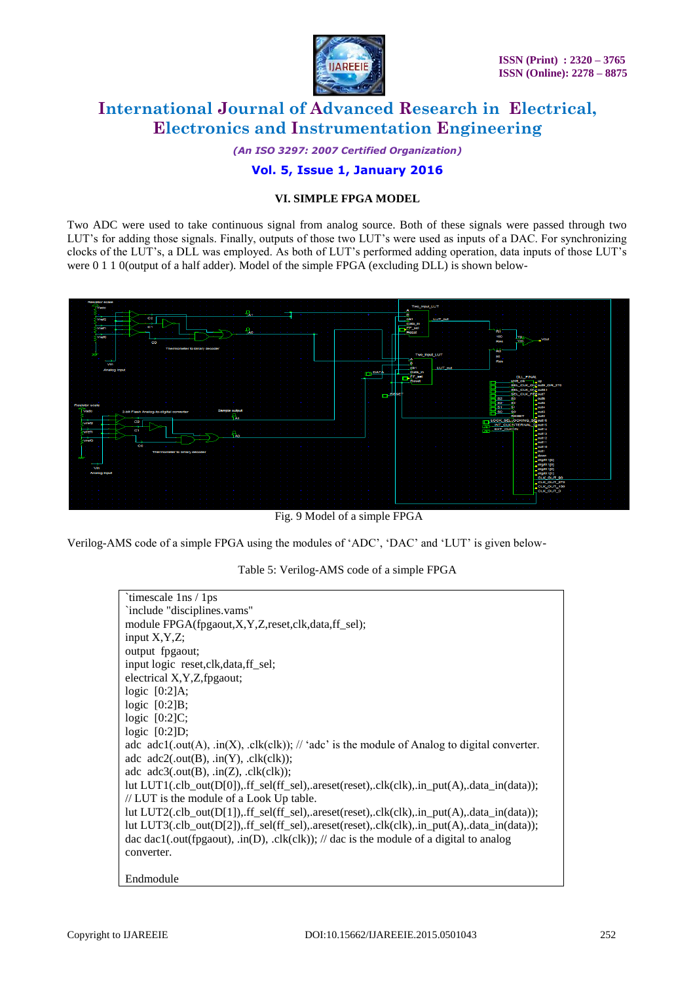

*(An ISO 3297: 2007 Certified Organization)*

### **Vol. 5, Issue 1, January 2016**

### **VI. SIMPLE FPGA MODEL**

Two ADC were used to take continuous signal from analog source. Both of these signals were passed through two LUT"s for adding those signals. Finally, outputs of those two LUT"s were used as inputs of a DAC. For synchronizing clocks of the LUT"s, a DLL was employed. As both of LUT"s performed adding operation, data inputs of those LUT"s were 0 1 1 0(output of a half adder). Model of the simple FPGA (excluding DLL) is shown below-



Fig. 9 Model of a simple FPGA

Verilog-AMS code of a simple FPGA using the modules of "ADC", "DAC" and "LUT" is given below-

Table 5: Verilog-AMS code of a simple FPGA

| `timescale 1ns / 1ps                                                                                                                |
|-------------------------------------------------------------------------------------------------------------------------------------|
| 'include "disciplines.vams"                                                                                                         |
| module FPGA(fpgaout,X,Y,Z,reset,clk,data,ff_sel);                                                                                   |
| input $X, Y, Z$ ;                                                                                                                   |
| output fpgaout;                                                                                                                     |
| input logic reset, clk, data, ff_sel;                                                                                               |
| electrical X, Y, Z, fpgaout;                                                                                                        |
| logic $[0:2]$ A;                                                                                                                    |
| logic $[0:2]B$ ;                                                                                                                    |
| logic $[0:2]C$ ;                                                                                                                    |
| logic $[0:2]D$ ;                                                                                                                    |
| adc $\text{adcl}(\text{.out}(A), \text{ in}(X), \text{clk}(c k));$ // ' $\text{adc'}$ is the module of Analog to digital converter. |
| adc $\text{adc2}(\text{.out}(B), \text{ in}(Y), \text{ .} \text{clk}( \text{clk}))$ ;                                               |
| adc $adc3$ (.out(B), .in(Z), .clk(clk));                                                                                            |
| lut LUT1(.clb_out(D[0]),.ff_sel(ff_sel),.areset(reset),.clk(clk),.in_put(A),.data_in(data));                                        |
| // LUT is the module of a Look Up table.                                                                                            |
| lut $LUT2(c,1b_out[D[1]), ff_sel(f_sel), areset(reset),clk(clk), in_put(A), data_in(data));$                                        |
| lut LUT3(.clb_out(D[2]),.ff_sel(ff_sel),.areset(reset),.clk(clk),.in_put(A),.data_in(data));                                        |
| dac dac1(.out(fpgaout), .in(D), .clk(clk)); // dac is the module of a digital to analog                                             |
| converter.                                                                                                                          |
|                                                                                                                                     |
| Endmodule                                                                                                                           |